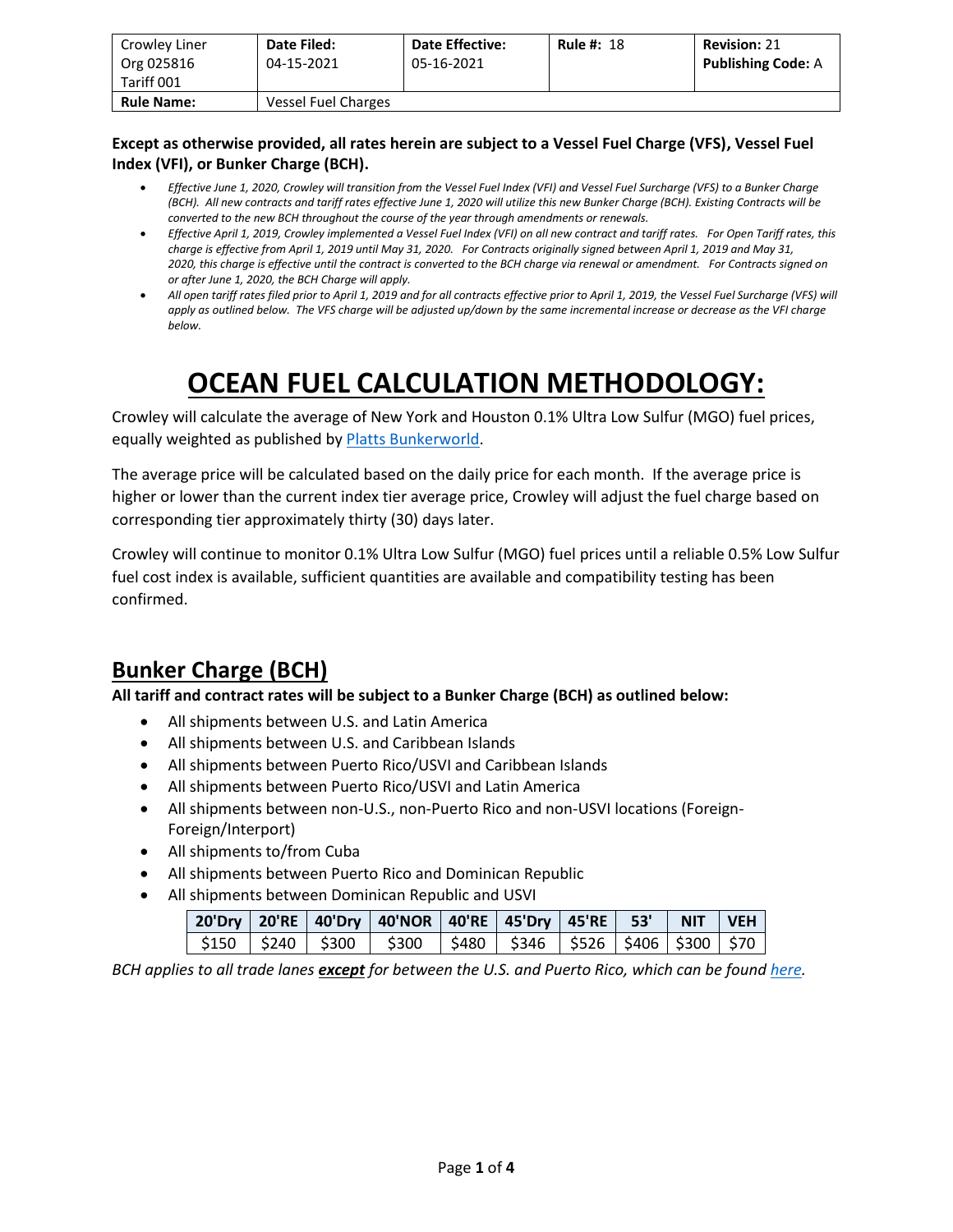| Crowley Liner<br>Org 025816<br>Tariff 001 | Date Filed:<br>04-15-2021 | <b>Date Effective:</b><br>05-16-2021 | <b>Rule #: 18</b> | <b>Revision: 21</b><br><b>Publishing Code: A</b> |
|-------------------------------------------|---------------------------|--------------------------------------|-------------------|--------------------------------------------------|
| <b>Rule Name:</b>                         | Vessel Fuel Charges       |                                      |                   |                                                  |

#### **Except as otherwise provided, all rates herein are subject to a Vessel Fuel Charge (VFS), Vessel Fuel Index (VFI), or Bunker Charge (BCH).**

- *Effective June 1, 2020, Crowley will transition from the Vessel Fuel Index (VFI) and Vessel Fuel Surcharge (VFS) to a Bunker Charge (BCH). All new contracts and tariff rates effective June 1, 2020 will utilize this new Bunker Charge (BCH). Existing Contracts will be converted to the new BCH throughout the course of the year through amendments or renewals.*
- *Effective April 1, 2019, Crowley implemented a Vessel Fuel Index (VFI) on all new contract and tariff rates. For Open Tariff rates, this charge is effective from April 1, 2019 until May 31, 2020. For Contracts originally signed between April 1, 2019 and May 31, 2020, this charge is effective until the contract is converted to the BCH charge via renewal or amendment. For Contracts signed on or after June 1, 2020, the BCH Charge will apply.*
- *All open tariff rates filed prior to April 1, 2019 and for all contracts effective prior to April 1, 2019, the Vessel Fuel Surcharge (VFS) will apply as outlined below. The VFS charge will be adjusted up/down by the same incremental increase or decrease as the VFI charge below.*

# **OCEAN FUEL CALCULATION METHODOLOGY:**

Crowley will calculate the average of New York and Houston 0.1% Ultra Low Sulfur (MGO) fuel prices, equally weighted as published b[y Platts Bunkerworld.](https://www.bunkerworld.com/)

The average price will be calculated based on the daily price for each month. If the average price is higher or lower than the current index tier average price, Crowley will adjust the fuel charge based on corresponding tier approximately thirty (30) days later.

Crowley will continue to monitor 0.1% Ultra Low Sulfur (MGO) fuel prices until a reliable 0.5% Low Sulfur fuel cost index is available, sufficient quantities are available and compatibility testing has been confirmed.

### **Bunker Charge (BCH)**

**All tariff and contract rates will be subject to a Bunker Charge (BCH) as outlined below:**

- All shipments between U.S. and Latin America
- All shipments between U.S. and Caribbean Islands
- All shipments between Puerto Rico/USVI and Caribbean Islands
- All shipments between Puerto Rico/USVI and Latin America
- All shipments between non-U.S., non-Puerto Rico and non-USVI locations (Foreign-Foreign/Interport)
- All shipments to/from Cuba
- All shipments between Puerto Rico and Dominican Republic
- All shipments between Dominican Republic and USVI

|  |  | 20'Dry   20'RE   40'Dry   40'NOR   40'RE   45'Dry   45'RE    53'     NIT    VEH |  |  |  |
|--|--|---------------------------------------------------------------------------------|--|--|--|
|  |  | \$150   \$240   \$300   \$300   \$480   \$346   \$526   \$406   \$300   \$70    |  |  |  |

*BCH applies to all trade lanes except for between the U.S. and Puerto Rico, which can be found [here.](https://www.crowley.com/logistics/resources/rates-tariffs/stb/#18-1-vessel-fuel-surcharge-between-the-continental-us-and-puerto-rico)*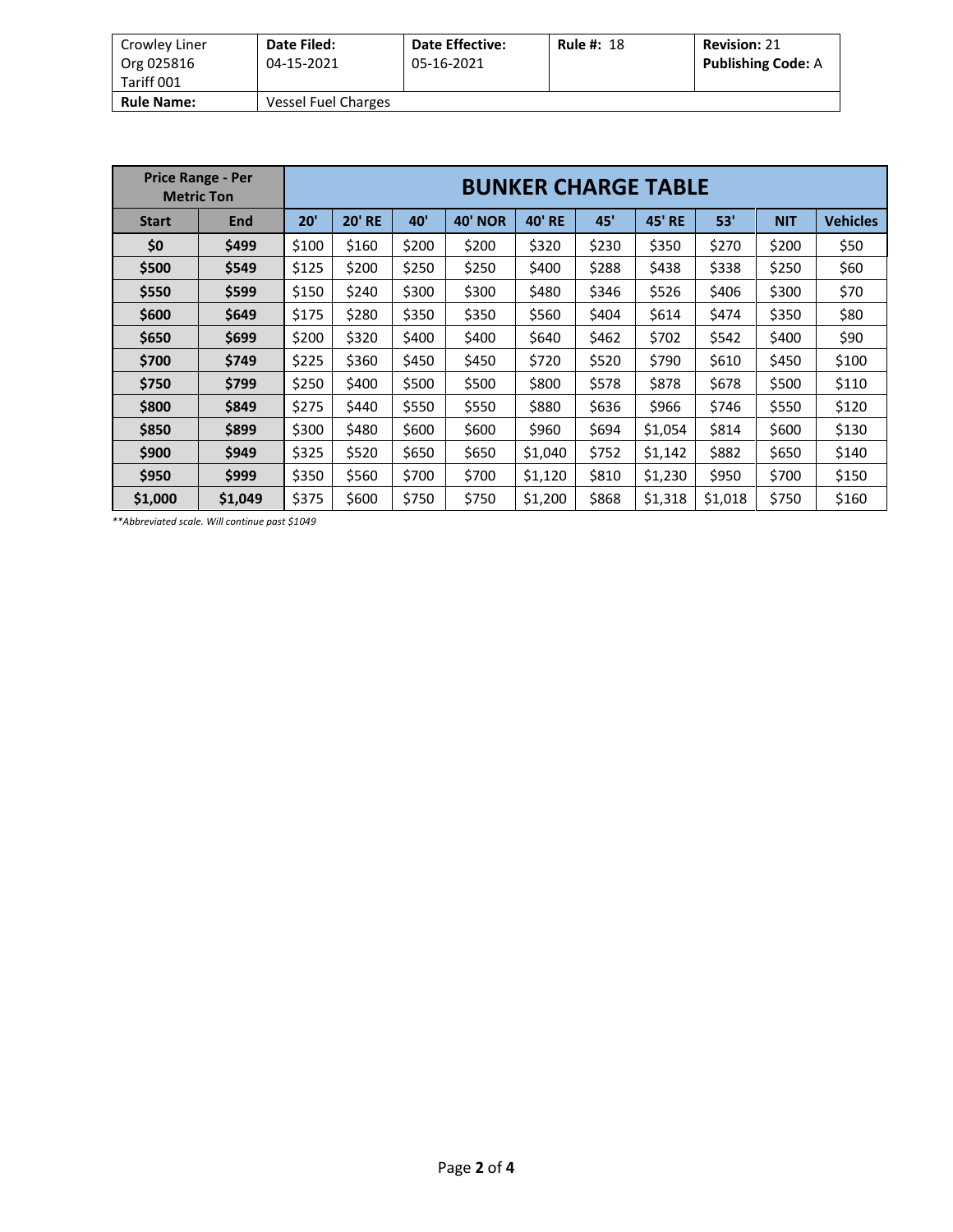| Crowley Liner<br>Org 025816 | Date Filed:<br>04-15-2021 | <b>Date Effective:</b><br>05-16-2021 | <b>Rule #: 18</b> | <b>Revision: 21</b><br><b>Publishing Code: A</b> |
|-----------------------------|---------------------------|--------------------------------------|-------------------|--------------------------------------------------|
| Tariff 001                  |                           |                                      |                   |                                                  |
| <b>Rule Name:</b>           | Vessel Fuel Charges       |                                      |                   |                                                  |

| <b>Price Range - Per</b><br><b>Metric Ton</b> |            | <b>BUNKER CHARGE TABLE</b> |               |       |                   |               |       |                  |         |            |                 |  |
|-----------------------------------------------|------------|----------------------------|---------------|-------|-------------------|---------------|-------|------------------|---------|------------|-----------------|--|
| <b>Start</b>                                  | <b>End</b> | 20'                        | <b>20' RE</b> | 40'   | 40'<br><b>NOR</b> | <b>40' RE</b> | 45'   | 45'<br><b>RE</b> | 53'     | <b>NIT</b> | <b>Vehicles</b> |  |
| \$0                                           | \$499      | \$100                      | \$160         | \$200 | \$200             | \$320         | \$230 | \$350            | \$270   | \$200      | \$50            |  |
| \$500                                         | \$549      | \$125                      | \$200         | \$250 | \$250             | \$400         | \$288 | \$438            | \$338   | \$250      | \$60            |  |
| \$550                                         | \$599      | \$150                      | \$240         | \$300 | \$300             | \$480         | \$346 | \$526            | \$406   | \$300      | \$70            |  |
| \$600                                         | \$649      | \$175                      | \$280         | \$350 | \$350             | \$560         | \$404 | \$614            | \$474   | \$350      | \$80            |  |
| \$650                                         | \$699      | \$200                      | \$320         | \$400 | \$400             | \$640         | \$462 | \$702            | \$542   | \$400      | \$90            |  |
| \$700                                         | \$749      | \$225                      | \$360         | \$450 | \$450             | \$720         | \$520 | \$790            | \$610   | \$450      | \$100           |  |
| \$750                                         | \$799      | \$250                      | \$400         | \$500 | \$500             | \$800         | \$578 | \$878            | \$678   | \$500      | \$110           |  |
| \$800                                         | \$849      | \$275                      | \$440         | \$550 | \$550             | \$880         | \$636 | \$966            | \$746   | \$550      | \$120           |  |
| \$850                                         | \$899      | \$300                      | \$480         | \$600 | \$600             | \$960         | \$694 | \$1,054          | \$814   | \$600      | \$130           |  |
| \$900                                         | \$949      | \$325                      | \$520         | \$650 | \$650             | \$1,040       | \$752 | \$1,142          | \$882   | \$650      | \$140           |  |
| \$950                                         | \$999      | \$350                      | \$560         | \$700 | \$700             | \$1,120       | \$810 | \$1,230          | \$950   | \$700      | \$150           |  |
| \$1,000                                       | \$1,049    | \$375                      | \$600         | \$750 | \$750             | \$1,200       | \$868 | \$1,318          | \$1,018 | \$750      | \$160           |  |

*\*\*Abbreviated scale. Will continue past \$1049*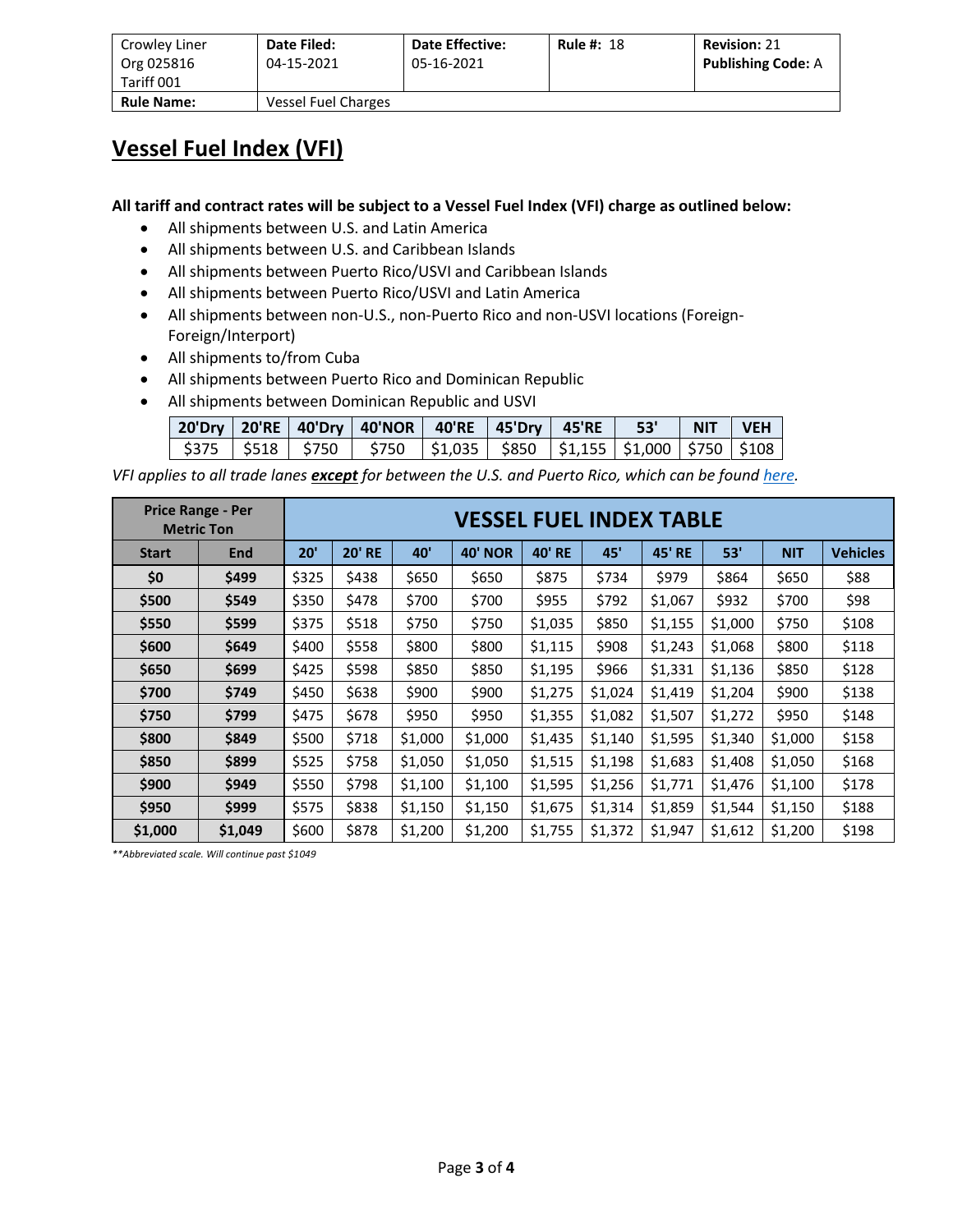| Crowley Liner<br>Org 025816<br>Tariff 001 | Date Filed:<br>04-15-2021 | <b>Date Effective:</b><br>05-16-2021 | <b>Rule #: 18</b> | <b>Revision: 21</b><br><b>Publishing Code: A</b> |
|-------------------------------------------|---------------------------|--------------------------------------|-------------------|--------------------------------------------------|
| <b>Rule Name:</b>                         | Vessel Fuel Charges       |                                      |                   |                                                  |

#### **Vessel Fuel Index (VFI)**

**All tariff and contract rates will be subject to a Vessel Fuel Index (VFI) charge as outlined below:**

- All shipments between U.S. and Latin America
- All shipments between U.S. and Caribbean Islands
- All shipments between Puerto Rico/USVI and Caribbean Islands
- All shipments between Puerto Rico/USVI and Latin America
- All shipments between non-U.S., non-Puerto Rico and non-USVI locations (Foreign-Foreign/Interport)
- All shipments to/from Cuba
- All shipments between Puerto Rico and Dominican Republic
- All shipments between Dominican Republic and USVI

|  | 20'Dry   20'RE   40'Dry   40'NOR   40'RE   45'Dry   45'RE   53'   NIT   VEH         |  |  |  |
|--|-------------------------------------------------------------------------------------|--|--|--|
|  | \$375   \$518   \$750   \$750   \$1,035   \$850   \$1,155   \$1,000   \$750   \$108 |  |  |  |

*VFI applies to all trade lanes except for between the U.S. and Puerto Rico, which can be foun[d here.](https://www.crowley.com/logistics/resources/rates-tariffs/stb/#18-1-vessel-fuel-surcharge-between-the-continental-us-and-puerto-rico)*

| <b>Price Range - Per</b><br><b>Metric Ton</b> |         |                                  | <b>VESSEL FUEL INDEX TABLE</b> |         |                |               |         |               |         |            |                 |  |  |
|-----------------------------------------------|---------|----------------------------------|--------------------------------|---------|----------------|---------------|---------|---------------|---------|------------|-----------------|--|--|
| <b>Start</b>                                  | End     | 20'                              | <b>20' RE</b><br>40'           |         | <b>40' NOR</b> | <b>40' RE</b> | 45'     | <b>45' RE</b> | 53'     | <b>NIT</b> | <b>Vehicles</b> |  |  |
| \$0                                           | \$499   | \$325                            | \$438                          | \$650   | \$650          | \$875         | \$734   | \$979         | \$864   | \$650      | \$88            |  |  |
| \$500                                         | \$549   | \$350<br>\$478<br>\$700<br>\$700 |                                | \$955   | \$792          | \$1,067       | \$932   | \$700         | \$98    |            |                 |  |  |
| \$550                                         | \$599   | \$375<br>\$518                   |                                | \$750   | \$750          | \$1,035       | \$850   | \$1,155       | \$1,000 | \$750      | \$108           |  |  |
| \$600                                         | \$649   | \$400                            | \$558                          | \$800   | \$800          | \$1,115       | \$908   | \$1,243       | \$1,068 | \$800      | \$118           |  |  |
| \$650                                         | \$699   | \$425                            | \$598                          | \$850   | \$850          | \$1,195       | \$966   | \$1,331       | \$1,136 | \$850      | \$128           |  |  |
| \$700                                         | \$749   | \$450                            | \$638                          | \$900   | \$900          | \$1,275       | \$1,024 | \$1,419       | \$1,204 | \$900      | \$138           |  |  |
| \$750                                         | \$799   | \$475                            | \$678                          | \$950   | \$950          | \$1,355       | \$1,082 | \$1,507       | \$1,272 | \$950      | \$148           |  |  |
| \$800                                         | \$849   | \$500                            | \$718                          | \$1,000 | \$1,000        | \$1,435       | \$1,140 | \$1,595       | \$1,340 | \$1,000    | \$158           |  |  |
| \$850                                         | \$899   | \$525                            | \$758                          | \$1,050 | \$1,050        | \$1,515       | \$1,198 | \$1,683       | \$1,408 | \$1,050    | \$168           |  |  |
| \$900                                         | \$949   | \$550                            | \$798                          | \$1,100 | \$1,100        | \$1,595       | \$1,256 | \$1,771       | \$1,476 | \$1,100    | \$178           |  |  |
| \$950                                         | \$999   | \$838<br>\$575<br>\$1,150        |                                | \$1,150 | \$1,675        | \$1,314       | \$1,859 | \$1,544       | \$1,150 | \$188      |                 |  |  |
| \$1,000                                       | \$1,049 | \$600                            | \$878<br>\$1,200<br>\$1,200    |         |                | \$1,755       | \$1,372 | \$1,947       | \$1,612 | \$1,200    | \$198           |  |  |

*\*\*Abbreviated scale. Will continue past \$1049*